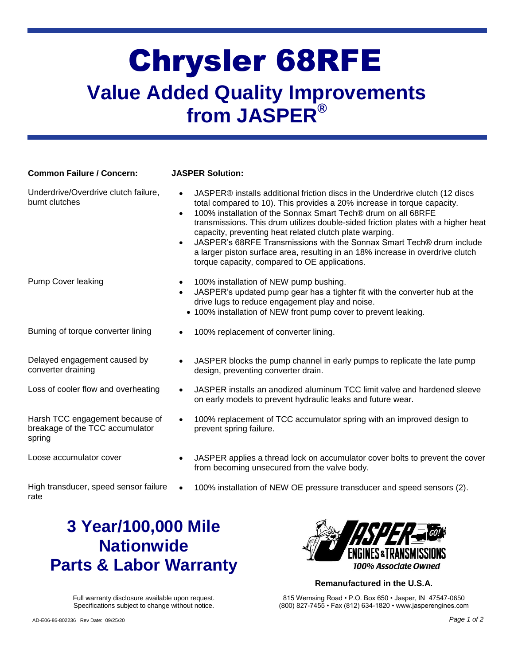## Chrysler 68RFE **Value Added Quality Improvements from JASPER®**

| <b>Common Failure / Concern:</b>                                             | <b>JASPER Solution:</b>                                                                                                                                                                                                                                                                                                                                                                                                                                                                                                                                                                            |
|------------------------------------------------------------------------------|----------------------------------------------------------------------------------------------------------------------------------------------------------------------------------------------------------------------------------------------------------------------------------------------------------------------------------------------------------------------------------------------------------------------------------------------------------------------------------------------------------------------------------------------------------------------------------------------------|
| Underdrive/Overdrive clutch failure,<br>burnt clutches                       | JASPER® installs additional friction discs in the Underdrive clutch (12 discs<br>total compared to 10). This provides a 20% increase in torque capacity.<br>100% installation of the Sonnax Smart Tech® drum on all 68RFE<br>$\bullet$<br>transmissions. This drum utilizes double-sided friction plates with a higher heat<br>capacity, preventing heat related clutch plate warping.<br>JASPER's 68RFE Transmissions with the Sonnax Smart Tech® drum include<br>a larger piston surface area, resulting in an 18% increase in overdrive clutch<br>torque capacity, compared to OE applications. |
| <b>Pump Cover leaking</b>                                                    | 100% installation of NEW pump bushing.<br>JASPER's updated pump gear has a tighter fit with the converter hub at the<br>drive lugs to reduce engagement play and noise.<br>• 100% installation of NEW front pump cover to prevent leaking.                                                                                                                                                                                                                                                                                                                                                         |
| Burning of torque converter lining                                           | 100% replacement of converter lining.                                                                                                                                                                                                                                                                                                                                                                                                                                                                                                                                                              |
| Delayed engagement caused by<br>converter draining                           | JASPER blocks the pump channel in early pumps to replicate the late pump<br>design, preventing converter drain.                                                                                                                                                                                                                                                                                                                                                                                                                                                                                    |
| Loss of cooler flow and overheating                                          | JASPER installs an anodized aluminum TCC limit valve and hardened sleeve<br>on early models to prevent hydraulic leaks and future wear.                                                                                                                                                                                                                                                                                                                                                                                                                                                            |
| Harsh TCC engagement because of<br>breakage of the TCC accumulator<br>spring | 100% replacement of TCC accumulator spring with an improved design to<br>prevent spring failure.                                                                                                                                                                                                                                                                                                                                                                                                                                                                                                   |
| Loose accumulator cover                                                      | JASPER applies a thread lock on accumulator cover bolts to prevent the cover<br>from becoming unsecured from the valve body.                                                                                                                                                                                                                                                                                                                                                                                                                                                                       |
| High transducer, speed sensor failure<br>rate                                | 100% installation of NEW OE pressure transducer and speed sensors (2).                                                                                                                                                                                                                                                                                                                                                                                                                                                                                                                             |
| $\mathcal{A}$<br>O VAAWAAN NAN MII                                           |                                                                                                                                                                                                                                                                                                                                                                                                                                                                                                                                                                                                    |

### **3 Year/100,000 Mile Nationwide Parts & Labor Warranty**

Full warranty disclosure available upon request. Specifications subject to change without notice.



#### **Remanufactured in the U.S.A.**

815 Wernsing Road • P.O. Box 650 • Jasper, IN 47547-0650 (800) 827-7455 • Fax (812) 634-1820 • www.jasperengines.com